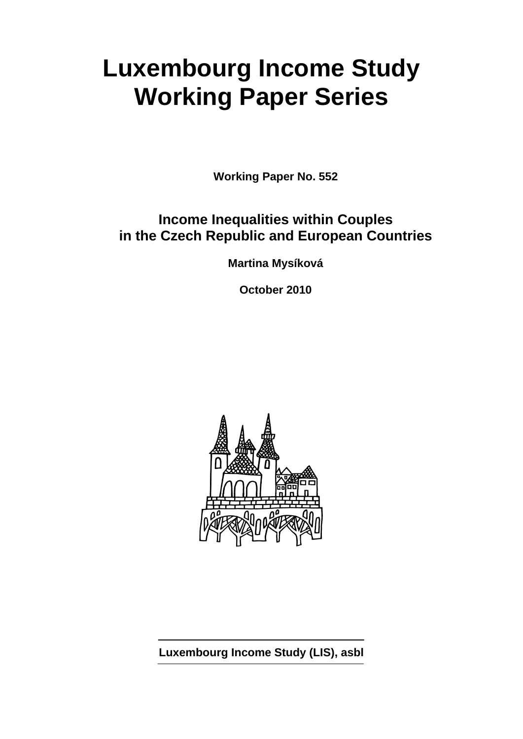# **Luxembourg Income Study Working Paper Series**

**Working Paper No. 552** 

# **Income Inequalities within Couples in the Czech Republic and European Countries**

**Martina Mysíková** 

**October 2010** 



**Luxembourg Income Study (LIS), asbl**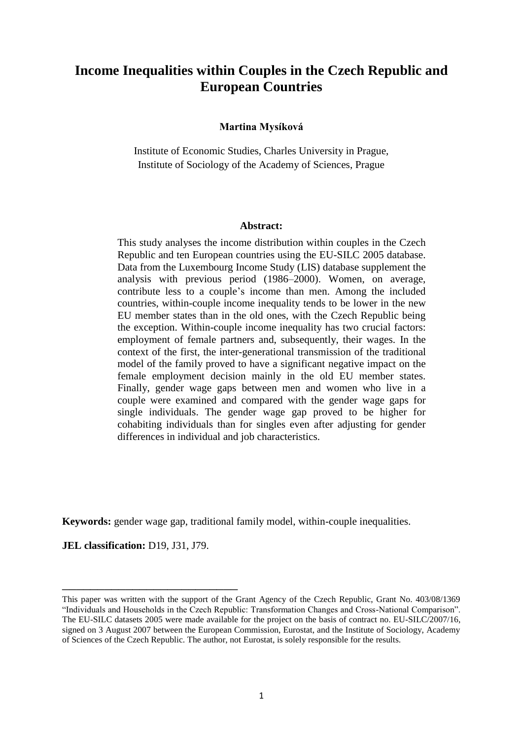# **Income Inequalities within Couples in the Czech Republic and European Countries**

#### **Martina Mysíková**

Institute of Economic Studies, Charles University in Prague, Institute of Sociology of the Academy of Sciences, Prague

#### **Abstract:**

This study analyses the income distribution within couples in the Czech Republic and ten European countries using the EU-SILC 2005 database. Data from the Luxembourg Income Study (LIS) database supplement the analysis with previous period (1986–2000). Women, on average, contribute less to a couple's income than men. Among the included countries, within-couple income inequality tends to be lower in the new EU member states than in the old ones, with the Czech Republic being the exception. Within-couple income inequality has two crucial factors: employment of female partners and, subsequently, their wages. In the context of the first, the inter-generational transmission of the traditional model of the family proved to have a significant negative impact on the female employment decision mainly in the old EU member states. Finally, gender wage gaps between men and women who live in a couple were examined and compared with the gender wage gaps for single individuals. The gender wage gap proved to be higher for cohabiting individuals than for singles even after adjusting for gender differences in individual and job characteristics.

**Keywords:** gender wage gap, traditional family model, within-couple inequalities.

**JEL classification:** D19, J31, J79.

\_\_\_\_\_\_\_\_\_\_\_\_\_\_\_\_\_\_\_\_\_\_\_\_\_

This paper was written with the support of the Grant Agency of the Czech Republic, Grant No. 403/08/1369 "Individuals and Households in the Czech Republic: Transformation Changes and Cross-National Comparison". The EU-SILC datasets 2005 were made available for the project on the basis of contract no. EU-SILC/2007/16, signed on 3 August 2007 between the European Commission, Eurostat, and the Institute of Sociology, Academy of Sciences of the Czech Republic. The author, not Eurostat, is solely responsible for the results.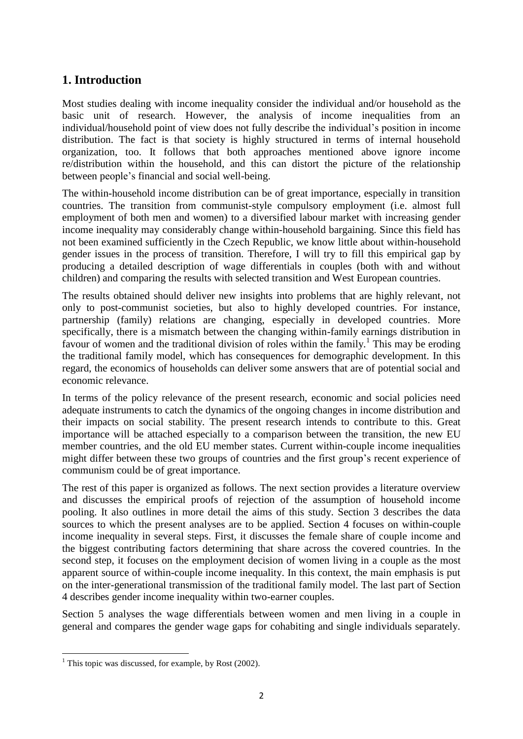# **1. Introduction**

Most studies dealing with income inequality consider the individual and/or household as the basic unit of research. However, the analysis of income inequalities from an individual/household point of view does not fully describe the individual's position in income distribution. The fact is that society is highly structured in terms of internal household organization, too. It follows that both approaches mentioned above ignore income re/distribution within the household, and this can distort the picture of the relationship between people's financial and social well-being.

The within-household income distribution can be of great importance, especially in transition countries. The transition from communist-style compulsory employment (i.e. almost full employment of both men and women) to a diversified labour market with increasing gender income inequality may considerably change within-household bargaining. Since this field has not been examined sufficiently in the Czech Republic, we know little about within-household gender issues in the process of transition. Therefore, I will try to fill this empirical gap by producing a detailed description of wage differentials in couples (both with and without children) and comparing the results with selected transition and West European countries.

The results obtained should deliver new insights into problems that are highly relevant, not only to post-communist societies, but also to highly developed countries. For instance, partnership (family) relations are changing, especially in developed countries. More specifically, there is a mismatch between the changing within-family earnings distribution in favour of women and the traditional division of roles within the family.<sup>1</sup> This may be eroding the traditional family model, which has consequences for demographic development. In this regard, the economics of households can deliver some answers that are of potential social and economic relevance.

In terms of the policy relevance of the present research, economic and social policies need adequate instruments to catch the dynamics of the ongoing changes in income distribution and their impacts on social stability. The present research intends to contribute to this. Great importance will be attached especially to a comparison between the transition, the new EU member countries, and the old EU member states. Current within-couple income inequalities might differ between these two groups of countries and the first group's recent experience of communism could be of great importance.

The rest of this paper is organized as follows. The next section provides a literature overview and discusses the empirical proofs of rejection of the assumption of household income pooling. It also outlines in more detail the aims of this study. Section 3 describes the data sources to which the present analyses are to be applied. Section 4 focuses on within-couple income inequality in several steps. First, it discusses the female share of couple income and the biggest contributing factors determining that share across the covered countries. In the second step, it focuses on the employment decision of women living in a couple as the most apparent source of within-couple income inequality. In this context, the main emphasis is put on the inter-generational transmission of the traditional family model. The last part of Section 4 describes gender income inequality within two-earner couples.

Section 5 analyses the wage differentials between women and men living in a couple in general and compares the gender wage gaps for cohabiting and single individuals separately.

**<sup>.</sup>** <sup>1</sup> This topic was discussed, for example, by Rost  $(2002)$ .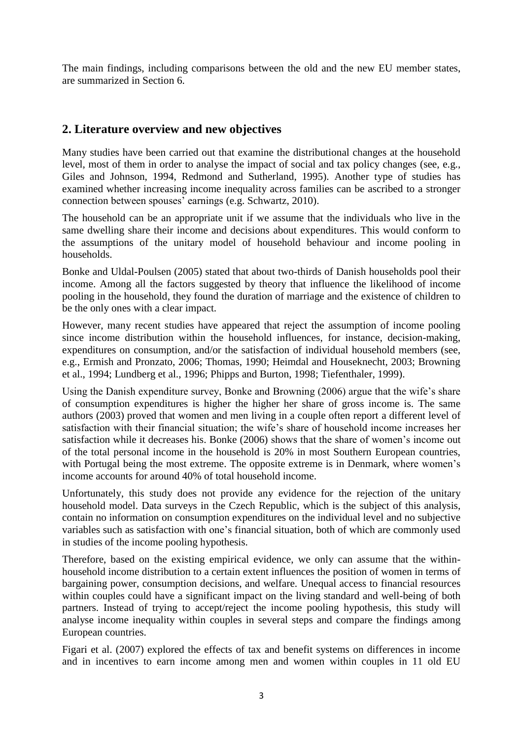The main findings, including comparisons between the old and the new EU member states, are summarized in Section 6.

# **2. Literature overview and new objectives**

Many studies have been carried out that examine the distributional changes at the household level, most of them in order to analyse the impact of social and tax policy changes (see, e.g., Giles and Johnson, 1994, Redmond and Sutherland, 1995). Another type of studies has examined whether increasing income inequality across families can be ascribed to a stronger connection between spouses' earnings (e.g. Schwartz, 2010).

The household can be an appropriate unit if we assume that the individuals who live in the same dwelling share their income and decisions about expenditures. This would conform to the assumptions of the unitary model of household behaviour and income pooling in households.

Bonke and Uldal-Poulsen (2005) stated that about two-thirds of Danish households pool their income. Among all the factors suggested by theory that influence the likelihood of income pooling in the household, they found the duration of marriage and the existence of children to be the only ones with a clear impact.

However, many recent studies have appeared that reject the assumption of income pooling since income distribution within the household influences, for instance, decision-making, expenditures on consumption, and/or the satisfaction of individual household members (see, e.g., Ermish and Pronzato, 2006; Thomas, 1990; Heimdal and Houseknecht, 2003; Browning et al., 1994; Lundberg et al., 1996; Phipps and Burton, 1998; Tiefenthaler, 1999).

Using the Danish expenditure survey, Bonke and Browning (2006) argue that the wife's share of consumption expenditures is higher the higher her share of gross income is. The same authors (2003) proved that women and men living in a couple often report a different level of satisfaction with their financial situation; the wife's share of household income increases her satisfaction while it decreases his. Bonke (2006) shows that the share of women's income out of the total personal income in the household is 20% in most Southern European countries, with Portugal being the most extreme. The opposite extreme is in Denmark, where women's income accounts for around 40% of total household income.

Unfortunately, this study does not provide any evidence for the rejection of the unitary household model. Data surveys in the Czech Republic, which is the subject of this analysis, contain no information on consumption expenditures on the individual level and no subjective variables such as satisfaction with one's financial situation, both of which are commonly used in studies of the income pooling hypothesis.

Therefore, based on the existing empirical evidence, we only can assume that the withinhousehold income distribution to a certain extent influences the position of women in terms of bargaining power, consumption decisions, and welfare. Unequal access to financial resources within couples could have a significant impact on the living standard and well-being of both partners. Instead of trying to accept/reject the income pooling hypothesis, this study will analyse income inequality within couples in several steps and compare the findings among European countries.

Figari et al. (2007) explored the effects of tax and benefit systems on differences in income and in incentives to earn income among men and women within couples in 11 old EU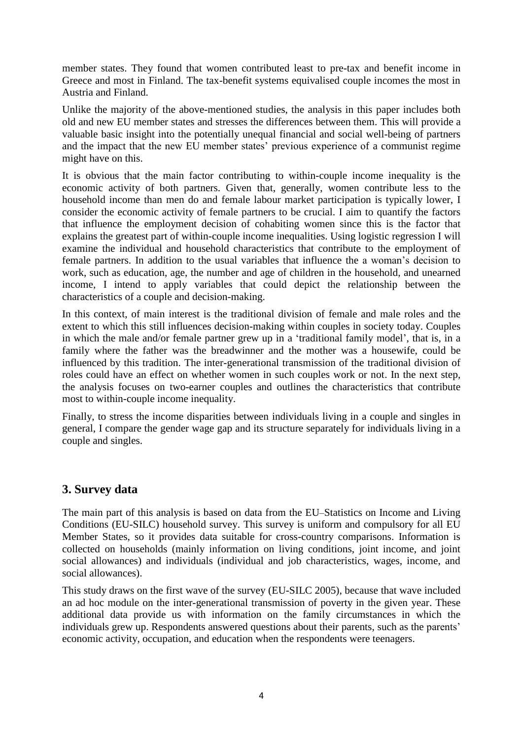member states. They found that women contributed least to pre-tax and benefit income in Greece and most in Finland. The tax-benefit systems equivalised couple incomes the most in Austria and Finland.

Unlike the majority of the above-mentioned studies, the analysis in this paper includes both old and new EU member states and stresses the differences between them. This will provide a valuable basic insight into the potentially unequal financial and social well-being of partners and the impact that the new EU member states' previous experience of a communist regime might have on this.

It is obvious that the main factor contributing to within-couple income inequality is the economic activity of both partners. Given that, generally, women contribute less to the household income than men do and female labour market participation is typically lower, I consider the economic activity of female partners to be crucial. I aim to quantify the factors that influence the employment decision of cohabiting women since this is the factor that explains the greatest part of within-couple income inequalities. Using logistic regression I will examine the individual and household characteristics that contribute to the employment of female partners. In addition to the usual variables that influence the a woman's decision to work, such as education, age, the number and age of children in the household, and unearned income, I intend to apply variables that could depict the relationship between the characteristics of a couple and decision-making.

In this context, of main interest is the traditional division of female and male roles and the extent to which this still influences decision-making within couples in society today. Couples in which the male and/or female partner grew up in a 'traditional family model', that is, in a family where the father was the breadwinner and the mother was a housewife, could be influenced by this tradition. The inter-generational transmission of the traditional division of roles could have an effect on whether women in such couples work or not. In the next step, the analysis focuses on two-earner couples and outlines the characteristics that contribute most to within-couple income inequality.

Finally, to stress the income disparities between individuals living in a couple and singles in general, I compare the gender wage gap and its structure separately for individuals living in a couple and singles.

### **3. Survey data**

The main part of this analysis is based on data from the EU–Statistics on Income and Living Conditions (EU-SILC) household survey. This survey is uniform and compulsory for all EU Member States, so it provides data suitable for cross-country comparisons. Information is collected on households (mainly information on living conditions, joint income, and joint social allowances) and individuals (individual and job characteristics, wages, income, and social allowances).

This study draws on the first wave of the survey (EU-SILC 2005), because that wave included an ad hoc module on the inter-generational transmission of poverty in the given year. These additional data provide us with information on the family circumstances in which the individuals grew up. Respondents answered questions about their parents, such as the parents' economic activity, occupation, and education when the respondents were teenagers.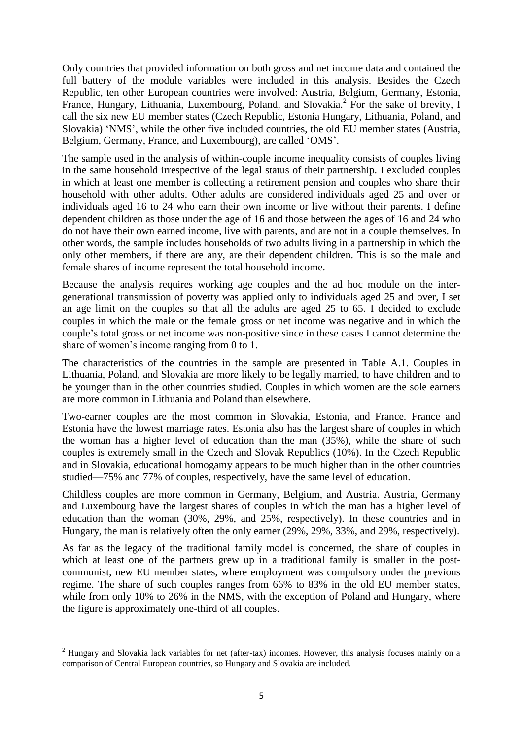Only countries that provided information on both gross and net income data and contained the full battery of the module variables were included in this analysis. Besides the Czech Republic, ten other European countries were involved: Austria, Belgium, Germany, Estonia, France, Hungary, Lithuania, Luxembourg, Poland, and Slovakia.<sup>2</sup> For the sake of brevity, I call the six new EU member states (Czech Republic, Estonia Hungary, Lithuania, Poland, and Slovakia) 'NMS', while the other five included countries, the old EU member states (Austria, Belgium, Germany, France, and Luxembourg), are called 'OMS'.

The sample used in the analysis of within-couple income inequality consists of couples living in the same household irrespective of the legal status of their partnership. I excluded couples in which at least one member is collecting a retirement pension and couples who share their household with other adults. Other adults are considered individuals aged 25 and over or individuals aged 16 to 24 who earn their own income or live without their parents. I define dependent children as those under the age of 16 and those between the ages of 16 and 24 who do not have their own earned income, live with parents, and are not in a couple themselves. In other words, the sample includes households of two adults living in a partnership in which the only other members, if there are any, are their dependent children. This is so the male and female shares of income represent the total household income.

Because the analysis requires working age couples and the ad hoc module on the intergenerational transmission of poverty was applied only to individuals aged 25 and over, I set an age limit on the couples so that all the adults are aged 25 to 65. I decided to exclude couples in which the male or the female gross or net income was negative and in which the couple's total gross or net income was non-positive since in these cases I cannot determine the share of women's income ranging from 0 to 1.

The characteristics of the countries in the sample are presented in Table A.1. Couples in Lithuania, Poland, and Slovakia are more likely to be legally married, to have children and to be younger than in the other countries studied. Couples in which women are the sole earners are more common in Lithuania and Poland than elsewhere.

Two-earner couples are the most common in Slovakia, Estonia, and France. France and Estonia have the lowest marriage rates. Estonia also has the largest share of couples in which the woman has a higher level of education than the man (35%), while the share of such couples is extremely small in the Czech and Slovak Republics (10%). In the Czech Republic and in Slovakia, educational homogamy appears to be much higher than in the other countries studied—75% and 77% of couples, respectively, have the same level of education.

Childless couples are more common in Germany, Belgium, and Austria. Austria, Germany and Luxembourg have the largest shares of couples in which the man has a higher level of education than the woman (30%, 29%, and 25%, respectively). In these countries and in Hungary, the man is relatively often the only earner (29%, 29%, 33%, and 29%, respectively).

As far as the legacy of the traditional family model is concerned, the share of couples in which at least one of the partners grew up in a traditional family is smaller in the postcommunist, new EU member states, where employment was compulsory under the previous regime. The share of such couples ranges from 66% to 83% in the old EU member states, while from only 10% to 26% in the NMS, with the exception of Poland and Hungary, where the figure is approximately one-third of all couples.

1

<sup>2</sup> Hungary and Slovakia lack variables for net (after-tax) incomes. However, this analysis focuses mainly on a comparison of Central European countries, so Hungary and Slovakia are included.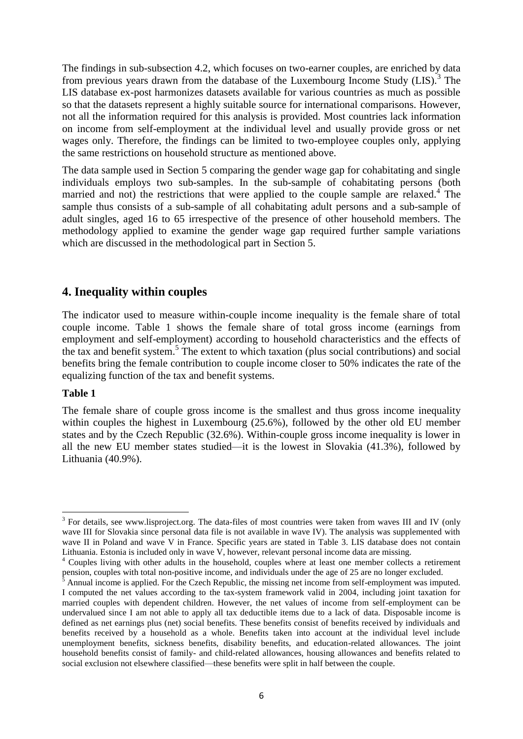The findings in sub-subsection 4.2, which focuses on two-earner couples, are enriched by data from previous years drawn from the database of the Luxembourg Income Study  $(LIS)^3$ . The LIS database ex-post harmonizes datasets available for various countries as much as possible so that the datasets represent a highly suitable source for international comparisons. However, not all the information required for this analysis is provided. Most countries lack information on income from self-employment at the individual level and usually provide gross or net wages only. Therefore, the findings can be limited to two-employee couples only, applying the same restrictions on household structure as mentioned above.

The data sample used in Section 5 comparing the gender wage gap for cohabitating and single individuals employs two sub-samples. In the sub-sample of cohabitating persons (both married and not) the restrictions that were applied to the couple sample are relaxed.<sup>4</sup> The sample thus consists of a sub-sample of all cohabitating adult persons and a sub-sample of adult singles, aged 16 to 65 irrespective of the presence of other household members. The methodology applied to examine the gender wage gap required further sample variations which are discussed in the methodological part in Section 5.

### **4. Inequality within couples**

The indicator used to measure within-couple income inequality is the female share of total couple income. Table 1 shows the female share of total gross income (earnings from employment and self-employment) according to household characteristics and the effects of the tax and benefit system.<sup>5</sup> The extent to which taxation (plus social contributions) and social benefits bring the female contribution to couple income closer to 50% indicates the rate of the equalizing function of the tax and benefit systems.

#### **Table 1**

1

The female share of couple gross income is the smallest and thus gross income inequality within couples the highest in Luxembourg (25.6%), followed by the other old EU member states and by the Czech Republic (32.6%). Within-couple gross income inequality is lower in all the new EU member states studied—it is the lowest in Slovakia (41.3%), followed by Lithuania (40.9%).

 $3$  For details, see www.lisproject.org. The data-files of most countries were taken from waves III and IV (only wave III for Slovakia since personal data file is not available in wave IV). The analysis was supplemented with wave II in Poland and wave V in France. Specific years are stated in Table 3. LIS database does not contain Lithuania. Estonia is included only in wave  $\overline{V}$ , however, relevant personal income data are missing.

<sup>4</sup> Couples living with other adults in the household, couples where at least one member collects a retirement pension, couples with total non-positive income, and individuals under the age of 25 are no longer excluded.

 $\frac{5}{5}$  Annual income is applied. For the Czech Republic, the missing net income from self-employment was imputed. I computed the net values according to the tax-system framework valid in 2004, including joint taxation for married couples with dependent children. However, the net values of income from self-employment can be undervalued since I am not able to apply all tax deductible items due to a lack of data. Disposable income is defined as net earnings plus (net) social benefits. These benefits consist of benefits received by individuals and benefits received by a household as a whole. Benefits taken into account at the individual level include unemployment benefits, sickness benefits, disability benefits, and education-related allowances. The joint household benefits consist of family- and child-related allowances, housing allowances and benefits related to social exclusion not elsewhere classified—these benefits were split in half between the couple.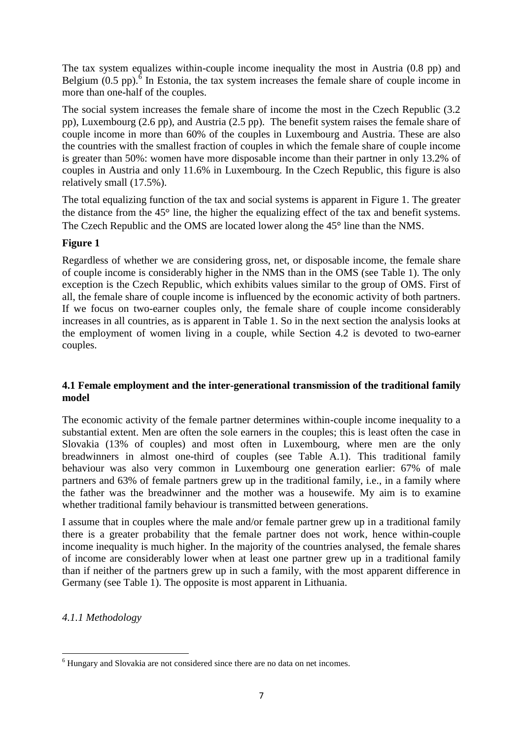The tax system equalizes within-couple income inequality the most in Austria (0.8 pp) and Belgium  $(0.5 \text{ pp})$ .<sup>6</sup> In Estonia, the tax system increases the female share of couple income in more than one-half of the couples.

The social system increases the female share of income the most in the Czech Republic (3.2 pp), Luxembourg (2.6 pp), and Austria (2.5 pp). The benefit system raises the female share of couple income in more than 60% of the couples in Luxembourg and Austria. These are also the countries with the smallest fraction of couples in which the female share of couple income is greater than 50%: women have more disposable income than their partner in only 13.2% of couples in Austria and only 11.6% in Luxembourg. In the Czech Republic, this figure is also relatively small (17.5%).

The total equalizing function of the tax and social systems is apparent in Figure 1. The greater the distance from the  $45^{\circ}$  line, the higher the equalizing effect of the tax and benefit systems. The Czech Republic and the OMS are located lower along the 45<sup>°</sup> line than the NMS.

#### **Figure 1**

Regardless of whether we are considering gross, net, or disposable income, the female share of couple income is considerably higher in the NMS than in the OMS (see Table 1). The only exception is the Czech Republic, which exhibits values similar to the group of OMS. First of all, the female share of couple income is influenced by the economic activity of both partners. If we focus on two-earner couples only, the female share of couple income considerably increases in all countries, as is apparent in Table 1. So in the next section the analysis looks at the employment of women living in a couple, while Section 4.2 is devoted to two-earner couples.

#### **4.1 Female employment and the inter-generational transmission of the traditional family model**

The economic activity of the female partner determines within-couple income inequality to a substantial extent. Men are often the sole earners in the couples; this is least often the case in Slovakia (13% of couples) and most often in Luxembourg, where men are the only breadwinners in almost one-third of couples (see Table A.1). This traditional family behaviour was also very common in Luxembourg one generation earlier: 67% of male partners and 63% of female partners grew up in the traditional family, i.e., in a family where the father was the breadwinner and the mother was a housewife. My aim is to examine whether traditional family behaviour is transmitted between generations.

I assume that in couples where the male and/or female partner grew up in a traditional family there is a greater probability that the female partner does not work, hence within-couple income inequality is much higher. In the majority of the countries analysed, the female shares of income are considerably lower when at least one partner grew up in a traditional family than if neither of the partners grew up in such a family, with the most apparent difference in Germany (see Table 1). The opposite is most apparent in Lithuania.

*4.1.1 Methodology*

**<sup>.</sup>** <sup>6</sup> Hungary and Slovakia are not considered since there are no data on net incomes.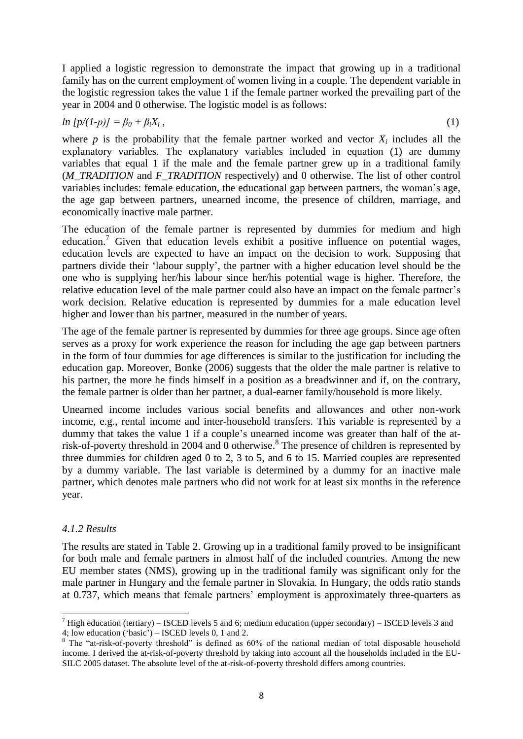I applied a logistic regression to demonstrate the impact that growing up in a traditional family has on the current employment of women living in a couple. The dependent variable in the logistic regression takes the value 1 if the female partner worked the prevailing part of the year in 2004 and 0 otherwise. The logistic model is as follows:

#### *ln*  $[p/(1-p)] = \beta_0 + \beta_i X_i$ , ,  $\hspace{1.6cm} (1)$

where *p* is the probability that the female partner worked and vector  $X_i$  includes all the explanatory variables. The explanatory variables included in equation (1) are dummy variables that equal 1 if the male and the female partner grew up in a traditional family (*M\_TRADITION* and *F\_TRADITION* respectively) and 0 otherwise. The list of other control variables includes: female education, the educational gap between partners, the woman's age, the age gap between partners, unearned income, the presence of children, marriage, and economically inactive male partner.

The education of the female partner is represented by dummies for medium and high education.<sup>7</sup> Given that education levels exhibit a positive influence on potential wages, education levels are expected to have an impact on the decision to work. Supposing that partners divide their 'labour supply', the partner with a higher education level should be the one who is supplying her/his labour since her/his potential wage is higher. Therefore, the relative education level of the male partner could also have an impact on the female partner's work decision. Relative education is represented by dummies for a male education level higher and lower than his partner, measured in the number of years.

The age of the female partner is represented by dummies for three age groups. Since age often serves as a proxy for work experience the reason for including the age gap between partners in the form of four dummies for age differences is similar to the justification for including the education gap. Moreover, Bonke (2006) suggests that the older the male partner is relative to his partner, the more he finds himself in a position as a breadwinner and if, on the contrary, the female partner is older than her partner, a dual-earner family/household is more likely.

Unearned income includes various social benefits and allowances and other non-work income, e.g., rental income and inter-household transfers. This variable is represented by a dummy that takes the value 1 if a couple's unearned income was greater than half of the atrisk-of-poverty threshold in 2004 and 0 otherwise. 8 The presence of children is represented by three dummies for children aged 0 to 2, 3 to 5, and 6 to 15. Married couples are represented by a dummy variable. The last variable is determined by a dummy for an inactive male partner, which denotes male partners who did not work for at least six months in the reference year.

#### *4.1.2 Results*

The results are stated in Table 2. Growing up in a traditional family proved to be insignificant for both male and female partners in almost half of the included countries. Among the new EU member states (NMS), growing up in the traditional family was significant only for the male partner in Hungary and the female partner in Slovakia. In Hungary, the odds ratio stands at 0.737, which means that female partners' employment is approximately three-quarters as

<sup>1</sup> <sup>7</sup> High education (tertiary) – ISCED levels 5 and 6; medium education (upper secondary) – ISCED levels 3 and 4; low education  $\overrightarrow{'}$  ('basic') – ISCED levels 0, 1 and 2.

 $8$  The "at-risk-of-poverty threshold" is defined as 60% of the national median of total disposable household income. I derived the at-risk-of-poverty threshold by taking into account all the households included in the EU-SILC 2005 dataset. The absolute level of the at-risk-of-poverty threshold differs among countries.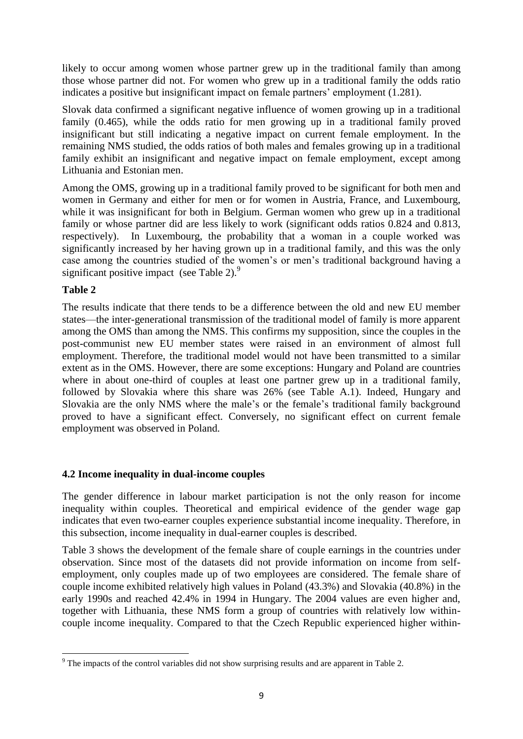likely to occur among women whose partner grew up in the traditional family than among those whose partner did not. For women who grew up in a traditional family the odds ratio indicates a positive but insignificant impact on female partners' employment (1.281).

Slovak data confirmed a significant negative influence of women growing up in a traditional family (0.465), while the odds ratio for men growing up in a traditional family proved insignificant but still indicating a negative impact on current female employment. In the remaining NMS studied, the odds ratios of both males and females growing up in a traditional family exhibit an insignificant and negative impact on female employment, except among Lithuania and Estonian men.

Among the OMS, growing up in a traditional family proved to be significant for both men and women in Germany and either for men or for women in Austria, France, and Luxembourg, while it was insignificant for both in Belgium. German women who grew up in a traditional family or whose partner did are less likely to work (significant odds ratios 0.824 and 0.813, respectively). In Luxembourg, the probability that a woman in a couple worked was significantly increased by her having grown up in a traditional family, and this was the only case among the countries studied of the women's or men's traditional background having a significant positive impact (see Table 2).<sup>9</sup>

#### **Table 2**

The results indicate that there tends to be a difference between the old and new EU member states—the inter-generational transmission of the traditional model of family is more apparent among the OMS than among the NMS. This confirms my supposition, since the couples in the post-communist new EU member states were raised in an environment of almost full employment. Therefore, the traditional model would not have been transmitted to a similar extent as in the OMS. However, there are some exceptions: Hungary and Poland are countries where in about one-third of couples at least one partner grew up in a traditional family, followed by Slovakia where this share was 26% (see Table A.1). Indeed, Hungary and Slovakia are the only NMS where the male's or the female's traditional family background proved to have a significant effect. Conversely, no significant effect on current female employment was observed in Poland.

#### **4.2 Income inequality in dual-income couples**

The gender difference in labour market participation is not the only reason for income inequality within couples. Theoretical and empirical evidence of the gender wage gap indicates that even two-earner couples experience substantial income inequality. Therefore, in this subsection, income inequality in dual-earner couples is described.

Table 3 shows the development of the female share of couple earnings in the countries under observation. Since most of the datasets did not provide information on income from selfemployment, only couples made up of two employees are considered. The female share of couple income exhibited relatively high values in Poland (43.3%) and Slovakia (40.8%) in the early 1990s and reached 42.4% in 1994 in Hungary. The 2004 values are even higher and, together with Lithuania, these NMS form a group of countries with relatively low withincouple income inequality. Compared to that the Czech Republic experienced higher within-

**<sup>.</sup>** <sup>9</sup> The impacts of the control variables did not show surprising results and are apparent in Table 2.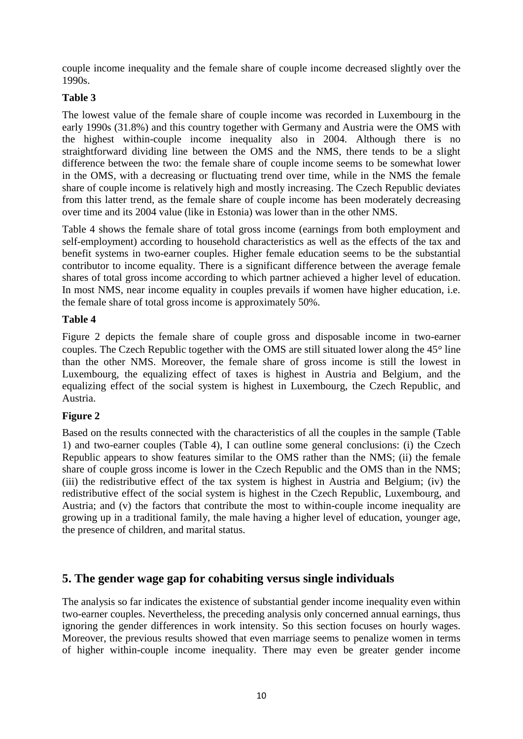couple income inequality and the female share of couple income decreased slightly over the 1990s.

#### **Table 3**

The lowest value of the female share of couple income was recorded in Luxembourg in the early 1990s (31.8%) and this country together with Germany and Austria were the OMS with the highest within-couple income inequality also in 2004. Although there is no straightforward dividing line between the OMS and the NMS, there tends to be a slight difference between the two: the female share of couple income seems to be somewhat lower in the OMS, with a decreasing or fluctuating trend over time, while in the NMS the female share of couple income is relatively high and mostly increasing. The Czech Republic deviates from this latter trend, as the female share of couple income has been moderately decreasing over time and its 2004 value (like in Estonia) was lower than in the other NMS.

Table 4 shows the female share of total gross income (earnings from both employment and self-employment) according to household characteristics as well as the effects of the tax and benefit systems in two-earner couples. Higher female education seems to be the substantial contributor to income equality. There is a significant difference between the average female shares of total gross income according to which partner achieved a higher level of education. In most NMS, near income equality in couples prevails if women have higher education, i.e. the female share of total gross income is approximately 50%.

#### **Table 4**

Figure 2 depicts the female share of couple gross and disposable income in two-earner couples. The Czech Republic together with the OMS are still situated lower along the  $45^{\circ}$  line than the other NMS. Moreover, the female share of gross income is still the lowest in Luxembourg, the equalizing effect of taxes is highest in Austria and Belgium, and the equalizing effect of the social system is highest in Luxembourg, the Czech Republic, and Austria.

### **Figure 2**

Based on the results connected with the characteristics of all the couples in the sample (Table 1) and two-earner couples (Table 4), I can outline some general conclusions: (i) the Czech Republic appears to show features similar to the OMS rather than the NMS; (ii) the female share of couple gross income is lower in the Czech Republic and the OMS than in the NMS; (iii) the redistributive effect of the tax system is highest in Austria and Belgium; (iv) the redistributive effect of the social system is highest in the Czech Republic, Luxembourg, and Austria; and (v) the factors that contribute the most to within-couple income inequality are growing up in a traditional family, the male having a higher level of education, younger age, the presence of children, and marital status.

# **5. The gender wage gap for cohabiting versus single individuals**

The analysis so far indicates the existence of substantial gender income inequality even within two-earner couples. Nevertheless, the preceding analysis only concerned annual earnings, thus ignoring the gender differences in work intensity. So this section focuses on hourly wages. Moreover, the previous results showed that even marriage seems to penalize women in terms of higher within-couple income inequality. There may even be greater gender income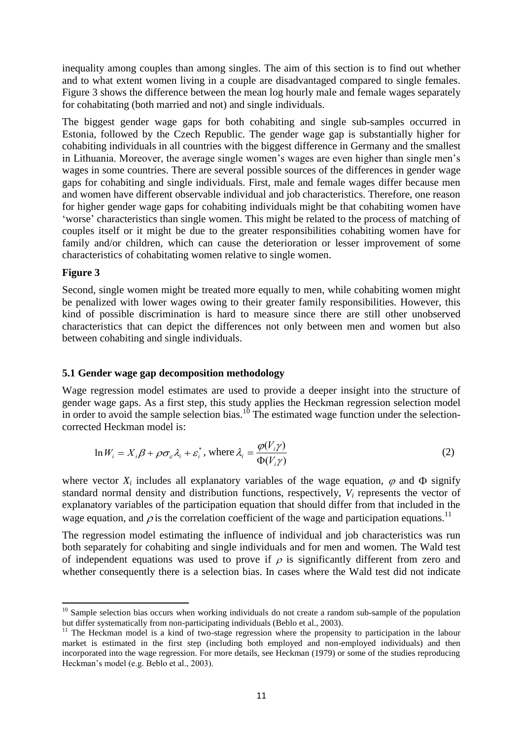inequality among couples than among singles. The aim of this section is to find out whether and to what extent women living in a couple are disadvantaged compared to single females. Figure 3 shows the difference between the mean log hourly male and female wages separately for cohabitating (both married and not) and single individuals.

The biggest gender wage gaps for both cohabiting and single sub-samples occurred in Estonia, followed by the Czech Republic. The gender wage gap is substantially higher for cohabiting individuals in all countries with the biggest difference in Germany and the smallest in Lithuania. Moreover, the average single women's wages are even higher than single men's wages in some countries. There are several possible sources of the differences in gender wage gaps for cohabiting and single individuals. First, male and female wages differ because men and women have different observable individual and job characteristics. Therefore, one reason for higher gender wage gaps for cohabiting individuals might be that cohabiting women have ‗worse' characteristics than single women. This might be related to the process of matching of couples itself or it might be due to the greater responsibilities cohabiting women have for family and/or children, which can cause the deterioration or lesser improvement of some characteristics of cohabitating women relative to single women.

#### **Figure 3**

Second, single women might be treated more equally to men, while cohabiting women might be penalized with lower wages owing to their greater family responsibilities. However, this kind of possible discrimination is hard to measure since there are still other unobserved characteristics that can depict the differences not only between men and women but also between cohabiting and single individuals.

#### **5.1 Gender wage gap decomposition methodology**

Wage regression model estimates are used to provide a deeper insight into the structure of gender wage gaps. As a first step, this study applies the Heckman regression selection model in order to avoid the sample selection bias.<sup>10</sup> The estimated wage function under the selectioncorrected Heckman model is:

$$
\ln W_i = X_i \beta + \rho \sigma_{\varepsilon} \lambda_i + \varepsilon_i^*, \text{ where } \lambda_i = \frac{\varphi(V_i \gamma)}{\Phi(V_i \gamma)} \tag{2}
$$

where vector  $X_i$  includes all explanatory variables of the wage equation,  $\varphi$  and  $\Phi$  signify standard normal density and distribution functions, respectively, *V<sup>i</sup>* represents the vector of explanatory variables of the participation equation that should differ from that included in the wage equation, and  $\rho$  is the correlation coefficient of the wage and participation equations.<sup>11</sup>

The regression model estimating the influence of individual and job characteristics was run both separately for cohabiting and single individuals and for men and women. The Wald test of independent equations was used to prove if  $\rho$  is significantly different from zero and whether consequently there is a selection bias. In cases where the Wald test did not indicate

**<sup>.</sup>** <sup>10</sup> Sample selection bias occurs when working individuals do not create a random sub-sample of the population but differ systematically from non-participating individuals (Beblo et al., 2003).

<sup>&</sup>lt;sup>11</sup> The Heckman model is a kind of two-stage regression where the propensity to participation in the labour market is estimated in the first step (including both employed and non-employed individuals) and then incorporated into the wage regression. For more details, see Heckman (1979) or some of the studies reproducing Heckman's model (e.g. Beblo et al., 2003).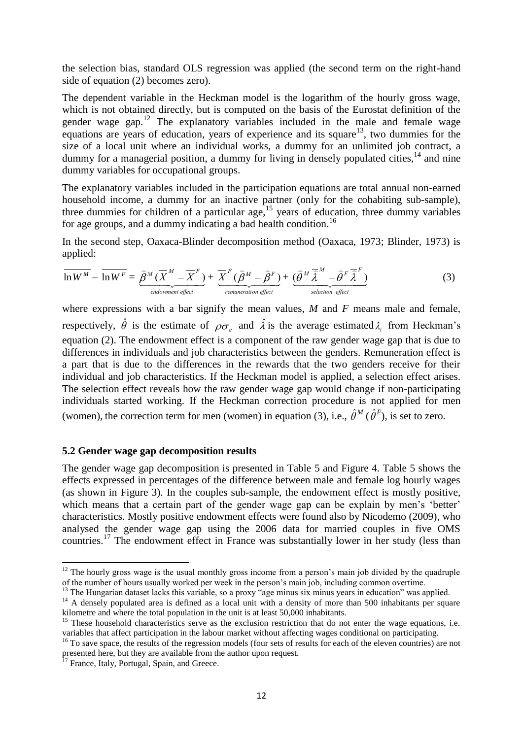the selection bias, standard OLS regression was applied (the second term on the right-hand side of equation (2) becomes zero).

The dependent variable in the Heckman model is the logarithm of the hourly gross wage, which is not obtained directly, but is computed on the basis of the Eurostat definition of the gender wage gap.<sup>12</sup> The explanatory variables included in the male and female wage equations are years of education, years of experience and its square $13$ , two dummies for the size of a local unit where an individual works, a dummy for an unlimited job contract, a dummy for a managerial position, a dummy for living in densely populated cities,<sup>14</sup> and nine dummy variables for occupational groups.

The explanatory variables included in the participation equations are total annual non-earned household income, a dummy for an inactive partner (only for the cohabiting sub-sample), three dummies for children of a particular age,<sup>15</sup> years of education, three dummy variables for age groups, and a dummy indicating a bad health condition.<sup>16</sup>

In the second step, Oaxaca-Blinder decomposition method (Oaxaca, 1973; Blinder, 1973) is applied:

$$
\overline{\ln W^M} - \overline{\ln W^F} = \underbrace{\widehat{\beta}^M (\overline{X}^M - \overline{X}^F)}_{\text{endownent effect}} + \underbrace{\overline{X}^F (\widehat{\beta}^M - \widehat{\beta}^F)}_{\text{remuneration effect}} + \underbrace{(\widehat{\theta}^M \overline{\widehat{\lambda}}^M - \widehat{\theta}^F \overline{\widehat{\lambda}}^F)}_{\text{selection effect}} \tag{3}
$$

where expressions with a bar signify the mean values, *M* and *F* means male and female, respectively,  $\hat{\theta}$  is the estimate of  $\rho\sigma_{\varepsilon}$  and  $\hat{\lambda}$  is the average estimated  $\lambda_i$  from Heckman's equation (2). The endowment effect is a component of the raw gender wage gap that is due to differences in individuals and job characteristics between the genders. Remuneration effect is a part that is due to the differences in the rewards that the two genders receive for their individual and job characteristics. If the Heckman model is applied, a selection effect arises. The selection effect reveals how the raw gender wage gap would change if non-participating individuals started working. If the Heckman correction procedure is not applied for men (women), the correction term for men (women) in equation (3), i.e.,  $\hat{\theta}^M(\hat{\theta}^F)$ , is set to zero.

#### **5.2 Gender wage gap decomposition results**

The gender wage gap decomposition is presented in Table 5 and Figure 4. Table 5 shows the effects expressed in percentages of the difference between male and female log hourly wages (as shown in Figure 3). In the couples sub-sample, the endowment effect is mostly positive, which means that a certain part of the gender wage gap can be explain by men's 'better' characteristics. Mostly positive endowment effects were found also by Nicodemo (2009), who analysed the gender wage gap using the 2006 data for married couples in five OMS countries.<sup>17</sup> The endowment effect in France was substantially lower in her study (less than

**.** 

 $12$  The hourly gross wage is the usual monthly gross income from a person's main job divided by the quadruple of the number of hours usually worked per week in the person's main job, including common overtime.

 $13$  The Hungarian dataset lacks this variable, so a proxy "age minus six minus years in education" was applied.

<sup>&</sup>lt;sup>14</sup> A densely populated area is defined as a local unit with a density of more than 500 inhabitants per square kilometre and where the total population in the unit is at least 50,000 inhabitants.

 $15$  These household characteristics serve as the exclusion restriction that do not enter the wage equations, i.e. variables that affect participation in the labour market without affecting wages conditional on participating.

<sup>&</sup>lt;sup>16</sup> To save space, the results of the regression models (four sets of results for each of the eleven countries) are not presented here, but they are available from the author upon request.

<sup>&</sup>lt;sup>17</sup> France, Italy, Portugal, Spain, and Greece.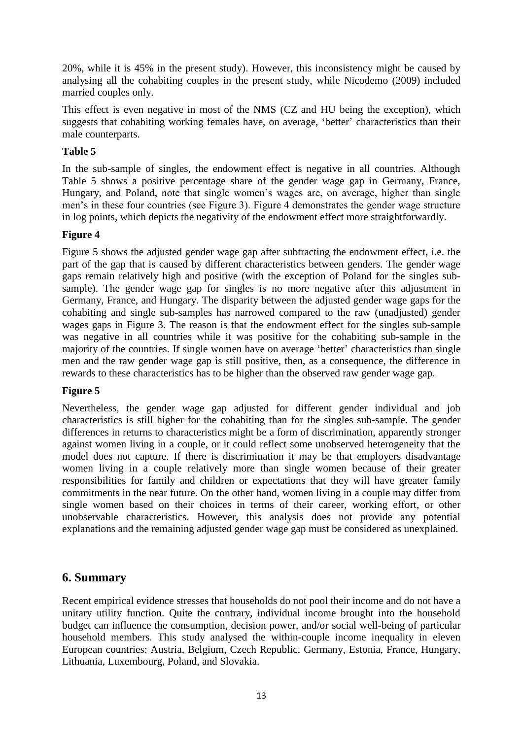20%, while it is 45% in the present study). However, this inconsistency might be caused by analysing all the cohabiting couples in the present study, while Nicodemo (2009) included married couples only.

This effect is even negative in most of the NMS (CZ and HU being the exception), which suggests that cohabiting working females have, on average, 'better' characteristics than their male counterparts.

#### **Table 5**

In the sub-sample of singles, the endowment effect is negative in all countries. Although Table 5 shows a positive percentage share of the gender wage gap in Germany, France, Hungary, and Poland, note that single women's wages are, on average, higher than single men's in these four countries (see Figure 3). Figure 4 demonstrates the gender wage structure in log points, which depicts the negativity of the endowment effect more straightforwardly.

#### **Figure 4**

Figure 5 shows the adjusted gender wage gap after subtracting the endowment effect, i.e. the part of the gap that is caused by different characteristics between genders. The gender wage gaps remain relatively high and positive (with the exception of Poland for the singles subsample). The gender wage gap for singles is no more negative after this adjustment in Germany, France, and Hungary. The disparity between the adjusted gender wage gaps for the cohabiting and single sub-samples has narrowed compared to the raw (unadjusted) gender wages gaps in Figure 3. The reason is that the endowment effect for the singles sub-sample was negative in all countries while it was positive for the cohabiting sub-sample in the majority of the countries. If single women have on average 'better' characteristics than single men and the raw gender wage gap is still positive, then, as a consequence, the difference in rewards to these characteristics has to be higher than the observed raw gender wage gap.

#### **Figure 5**

Nevertheless, the gender wage gap adjusted for different gender individual and job characteristics is still higher for the cohabiting than for the singles sub-sample. The gender differences in returns to characteristics might be a form of discrimination, apparently stronger against women living in a couple, or it could reflect some unobserved heterogeneity that the model does not capture. If there is discrimination it may be that employers disadvantage women living in a couple relatively more than single women because of their greater responsibilities for family and children or expectations that they will have greater family commitments in the near future. On the other hand, women living in a couple may differ from single women based on their choices in terms of their career, working effort, or other unobservable characteristics. However, this analysis does not provide any potential explanations and the remaining adjusted gender wage gap must be considered as unexplained.

### **6. Summary**

Recent empirical evidence stresses that households do not pool their income and do not have a unitary utility function. Quite the contrary, individual income brought into the household budget can influence the consumption, decision power, and/or social well-being of particular household members. This study analysed the within-couple income inequality in eleven European countries: Austria, Belgium, Czech Republic, Germany, Estonia, France, Hungary, Lithuania, Luxembourg, Poland, and Slovakia.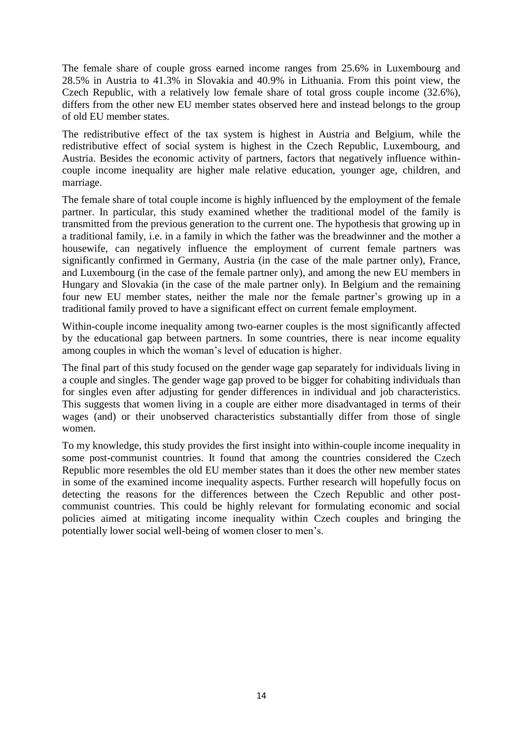The female share of couple gross earned income ranges from 25.6% in Luxembourg and 28.5% in Austria to 41.3% in Slovakia and 40.9% in Lithuania. From this point view, the Czech Republic, with a relatively low female share of total gross couple income (32.6%), differs from the other new EU member states observed here and instead belongs to the group of old EU member states.

The redistributive effect of the tax system is highest in Austria and Belgium, while the redistributive effect of social system is highest in the Czech Republic, Luxembourg, and Austria. Besides the economic activity of partners, factors that negatively influence withincouple income inequality are higher male relative education, younger age, children, and marriage.

The female share of total couple income is highly influenced by the employment of the female partner. In particular, this study examined whether the traditional model of the family is transmitted from the previous generation to the current one. The hypothesis that growing up in a traditional family, i.e. in a family in which the father was the breadwinner and the mother a housewife, can negatively influence the employment of current female partners was significantly confirmed in Germany, Austria (in the case of the male partner only), France, and Luxembourg (in the case of the female partner only), and among the new EU members in Hungary and Slovakia (in the case of the male partner only). In Belgium and the remaining four new EU member states, neither the male nor the female partner's growing up in a traditional family proved to have a significant effect on current female employment.

Within-couple income inequality among two-earner couples is the most significantly affected by the educational gap between partners. In some countries, there is near income equality among couples in which the woman's level of education is higher.

The final part of this study focused on the gender wage gap separately for individuals living in a couple and singles. The gender wage gap proved to be bigger for cohabiting individuals than for singles even after adjusting for gender differences in individual and job characteristics. This suggests that women living in a couple are either more disadvantaged in terms of their wages (and) or their unobserved characteristics substantially differ from those of single women.

To my knowledge, this study provides the first insight into within-couple income inequality in some post-communist countries. It found that among the countries considered the Czech Republic more resembles the old EU member states than it does the other new member states in some of the examined income inequality aspects. Further research will hopefully focus on detecting the reasons for the differences between the Czech Republic and other postcommunist countries. This could be highly relevant for formulating economic and social policies aimed at mitigating income inequality within Czech couples and bringing the potentially lower social well-being of women closer to men's.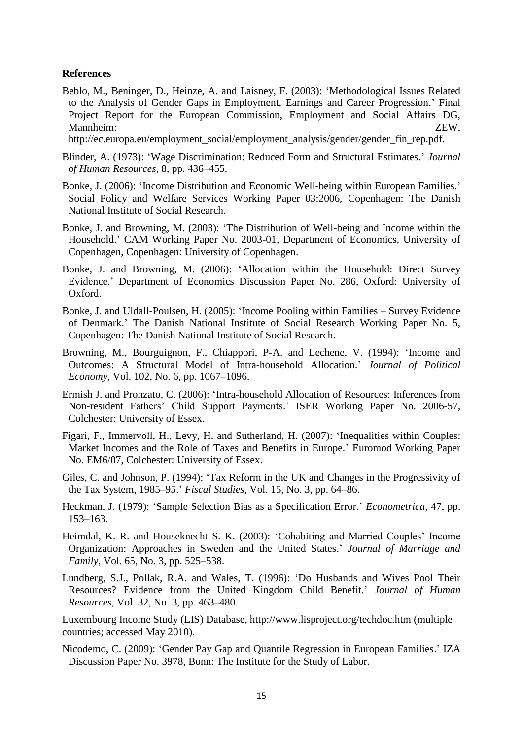#### **References**

Beblo, M., Beninger, D., Heinze, A. and Laisney, F. (2003): ‗Methodological Issues Related to the Analysis of Gender Gaps in Employment, Earnings and Career Progression.' Final Project Report for the European Commission, Employment and Social Affairs DG, Mannheim: ZEW,

http://ec.europa.eu/employment\_social/employment\_analysis/gender/gender\_fin\_rep.pdf.

- Blinder, A. (1973): ‗Wage Discrimination: Reduced Form and Structural Estimates.' *Journal of Human Resources*, 8, pp. 436–455.
- Bonke, J. (2006): 'Income Distribution and Economic Well-being within European Families.' Social Policy and Welfare Services Working Paper 03:2006, Copenhagen: The Danish National Institute of Social Research.
- Bonke, J. and Browning, M. (2003): ‗The Distribution of Well-being and Income within the Household.' CAM Working Paper No. 2003-01, Department of Economics, University of Copenhagen, Copenhagen: University of Copenhagen.
- Bonke, J. and Browning, M. (2006): ‗Allocation within the Household: Direct Survey Evidence.' Department of Economics Discussion Paper No. 286, Oxford: University of Oxford.
- Bonke, J. and Uldall-Poulsen, H. (2005): 'Income Pooling within Families Survey Evidence of Denmark.' The Danish National Institute of Social Research Working Paper No. 5, Copenhagen: The Danish National Institute of Social Research.
- Browning, M., Bourguignon, F., Chiappori, P-A. and Lechene, V. (1994): 'Income and Outcomes: A Structural Model of Intra-household Allocation.' *Journal of Political Economy*, Vol. 102, No. 6, pp. 1067–1096.
- Ermish J. and Pronzato, C. (2006): 'Intra-household Allocation of Resources: Inferences from Non-resident Fathers' Child Support Payments.' ISER Working Paper No. 2006-57, Colchester: University of Essex.
- Figari, F., Immervoll, H., Levy, H. and Sutherland, H. (2007): 'Inequalities within Couples: Market Incomes and the Role of Taxes and Benefits in Europe.' Euromod Working Paper No. EM6/07, Colchester: University of Essex.
- Giles, C. and Johnson, P. (1994): 'Tax Reform in the UK and Changes in the Progressivity of the Tax System, 1985–95.' *Fiscal Studies*, Vol. 15, No. 3, pp. 64–86.
- Heckman, J. (1979): ‗Sample Selection Bias as a Specification Error.' *Econometrica*, 47, pp. 153–163.
- Heimdal, K. R. and Houseknecht S. K. (2003): ‗Cohabiting and Married Couples' Income Organization: Approaches in Sweden and the United States.' *Journal of Marriage and Family*, Vol. 65, No. 3, pp. 525–538.
- Lundberg, S.J., Pollak, R.A. and Wales, T. (1996): ‗Do Husbands and Wives Pool Their Resources? Evidence from the United Kingdom Child Benefit.' *Journal of Human Resources*, Vol. 32, No. 3, pp. 463–480.

Luxembourg Income Study (LIS) Database, http://www.lisproject.org/techdoc.htm (multiple countries; accessed May 2010).

Nicodemo, C. (2009): ‗Gender Pay Gap and Quantile Regression in European Families.' IZA Discussion Paper No. 3978, Bonn: The Institute for the Study of Labor.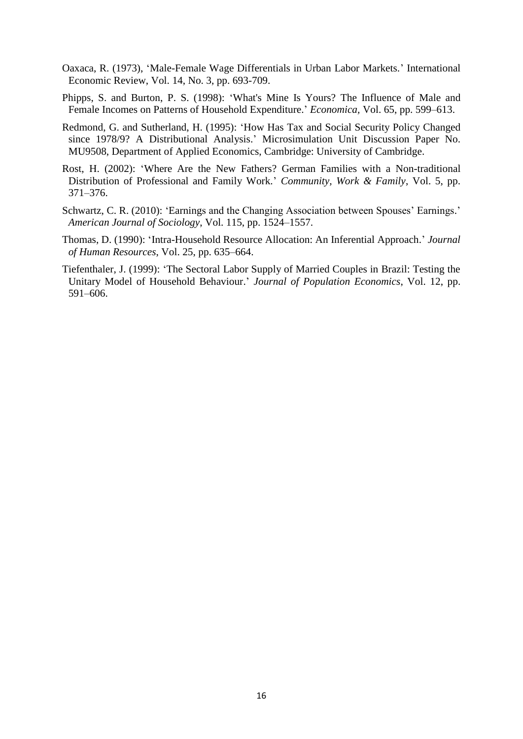- Oaxaca, R. (1973), ‗Male-Female Wage Differentials in Urban Labor Markets.' International Economic Review, Vol. 14, No. 3, pp. 693-709.
- Phipps, S. and Burton, P. S. (1998): ‗What's Mine Is Yours? The Influence of Male and Female Incomes on Patterns of Household Expenditure.' *Economica,* Vol. 65, pp. 599–613.
- Redmond, G. and Sutherland, H. (1995): 'How Has Tax and Social Security Policy Changed since 1978/9? A Distributional Analysis.' Microsimulation Unit Discussion Paper No. MU9508, Department of Applied Economics, Cambridge: University of Cambridge.
- Rost, H. (2002): ‗Where Are the New Fathers? German Families with a Non-traditional Distribution of Professional and Family Work.' *Community, Work & Family*, Vol. 5, pp. 371–376.
- Schwartz, C. R. (2010): 'Earnings and the Changing Association between Spouses' Earnings.' *American Journal of Sociology*, Vol. 115, pp. 1524–1557.
- Thomas, D. (1990): 'Intra-Household Resource Allocation: An Inferential Approach.' *Journal of Human Resources*, Vol. 25, pp. 635–664.
- Tiefenthaler, J. (1999): ‗The Sectoral Labor Supply of Married Couples in Brazil: Testing the Unitary Model of Household Behaviour.' *Journal of Population Economics*, Vol. 12, pp. 591–606.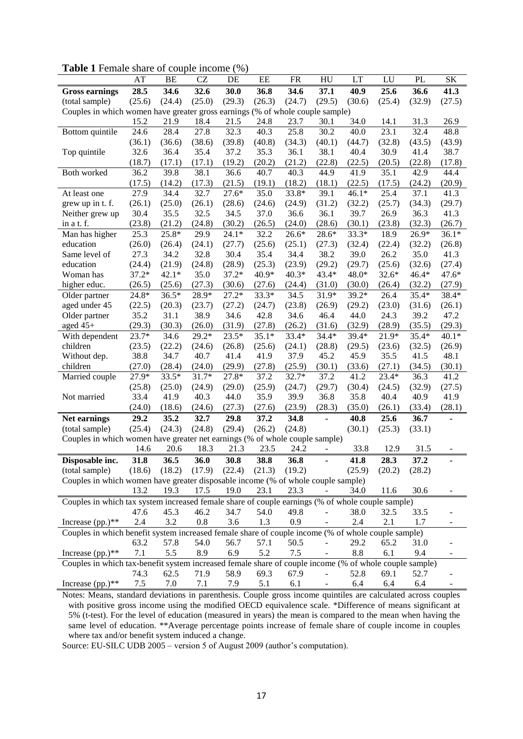| <b>rapic 1</b> Female share of couple meome                                                            | AT      | BE      | CZ                | $\sqrt{2}$<br>DE | EE      | <b>FR</b> | HU                       | LT      | LU      | <b>PL</b> | <b>SK</b> |
|--------------------------------------------------------------------------------------------------------|---------|---------|-------------------|------------------|---------|-----------|--------------------------|---------|---------|-----------|-----------|
| <b>Gross earnings</b>                                                                                  | 28.5    | 34.6    | 32.6              | 30.0             | 36.8    | 34.6      | 37.1                     | 40.9    | 25.6    | 36.6      | 41.3      |
| (total sample)                                                                                         | (25.6)  | (24.4)  | (25.0)            | (29.3)           | (26.3)  | (24.7)    | (29.5)                   | (30.6)  | (25.4)  | (32.9)    | (27.5)    |
| Couples in which women have greater gross earnings (% of whole couple sample)                          |         |         |                   |                  |         |           |                          |         |         |           |           |
|                                                                                                        | 15.2    | 21.9    | 18.4              | 21.5             | 24.8    | 23.7      | 30.1                     | 34.0    | 14.1    | 31.3      | 26.9      |
| Bottom quintile                                                                                        | 24.6    | 28.4    | 27.8              | 32.3             | 40.3    | 25.8      | 30.2                     | 40.0    | 23.1    | 32.4      | 48.8      |
|                                                                                                        | (36.1)  | (36.6)  | (38.6)            | (39.8)           | (40.8)  | (34.3)    | (40.1)                   | (44.7)  | (32.8)  | (43.5)    | (43.9)    |
| Top quintile                                                                                           | 32.6    | 36.4    | 35.4              | 37.2             | 35.3    | 36.1      | 38.1                     | 40.4    | 30.9    | 41.4      | 38.7      |
|                                                                                                        | (18.7)  | (17.1)  | (17.1)            | (19.2)           | (20.2)  | (21.2)    | (22.8)                   | (22.5)  | (20.5)  | (22.8)    | (17.8)    |
| Both worked                                                                                            | 36.2    | 39.8    | 38.1              | 36.6             | 40.7    | 40.3      | 44.9                     | 41.9    | 35.1    | 42.9      | 44.4      |
|                                                                                                        | (17.5)  | (14.2)  | (17.3)            | (21.5)           | (19.1)  | (18.2)    | (18.1)                   | (22.5)  | (17.5)  | (24.2)    | (20.9)    |
| At least one                                                                                           | 27.9    | 34.4    | 32.7              | $27.6*$          | 35.0    | 33.8*     | 39.1                     | $46.1*$ | 25.4    | 37.1      | 41.3      |
| grew up in t. f.                                                                                       | (26.1)  | (25.0)  | (26.1)            | (28.6)           | (24.6)  | (24.9)    | (31.2)                   | (32.2)  | (25.7)  | (34.3)    | (29.7)    |
| Neither grew up                                                                                        | 30.4    | 35.5    | 32.5              | 34.5             | 37.0    | 36.6      | 36.1                     | 39.7    | 26.9    | 36.3      | 41.3      |
| in a t. f.                                                                                             | (23.8)  | (21.2)  | (24.8)            | (30.2)           | (26.5)  | (24.0)    | (28.6)                   | (30.1)  | (23.8)  | (32.3)    | (26.7)    |
| Man has higher                                                                                         | 25.3    | 25.8*   | 29.9              | $24.1*$          | 32.2    | $26.6*$   | 28.6*                    | 33.3*   | 18.9    | 26.9*     | $36.1*$   |
| education                                                                                              | (26.0)  | (26.4)  | (24.1)            | (27.7)           | (25.6)  | (25.1)    | (27.3)                   | (32.4)  | (22.4)  | (32.2)    | (26.8)    |
| Same level of                                                                                          | 27.3    | 34.2    | 32.8              | 30.4             | 35.4    | 34.4      | 38.2                     | 39.0    | 26.2    | 35.0      | 41.3      |
| education                                                                                              | (24.4)  | (21.9)  | (24.8)            | (28.9)           | (25.3)  | (23.9)    | (29.2)                   | (29.7)  | (25.6)  | (32.6)    | (27.4)    |
| Woman has                                                                                              | $37.2*$ | $42.1*$ | 35.0              | $37.2*$          | 40.9*   | $40.3*$   | $43.4*$                  | $48.0*$ | $32.6*$ | $46.4*$   | 47.6*     |
| higher educ.                                                                                           | (26.5)  | (25.6)  | (27.3)            | (30.6)           | (27.6)  | (24.4)    | (31.0)                   | (30.0)  | (26.4)  | (32.2)    | (27.9)    |
| Older partner                                                                                          | 24.8*   | $36.5*$ | 28.9*             | $27.2*$          | 33.3*   | 34.5      | 31.9*                    | 39.2*   | 26.4    | 35.4*     | 38.4*     |
| aged under 45                                                                                          | (22.5)  | (20.3)  | (23.7)            | (27.2)           | (24.7)  | (23.8)    | (26.9)                   | (29.2)  | (23.0)  | (31.6)    | (26.1)    |
| Older partner                                                                                          | 35.2    | 31.1    | 38.9              | 34.6             | 42.8    | 34.6      | 46.4                     | 44.0    | 24.3    | 39.2      | 47.2      |
| aged $45+$                                                                                             | (29.3)  | (30.3)  | (26.0)            | (31.9)           | (27.8)  | (26.2)    | (31.6)                   | (32.9)  | (28.9)  | (35.5)    | (29.3)    |
| With dependent                                                                                         | 23.7*   | 34.6    | 29.2*             | $23.5*$          | $35.1*$ | 33.4*     | $34.4*$                  | $39.4*$ | 21.9*   | $35.4*$   | $40.1*$   |
| children                                                                                               | (23.5)  | (22.2)  | (24.6)            | (26.8)           | (25.6)  | (24.1)    | (28.8)                   | (29.5)  | (23.6)  | (32.5)    | (26.9)    |
| Without dep.                                                                                           | 38.8    | 34.7    | 40.7              | 41.4             | 41.9    | 37.9      | 45.2                     | 45.9    | 35.5    | 41.5      | 48.1      |
| children                                                                                               | (27.0)  | (28.4)  | (24.0)            | (29.9)           | (27.8)  | (25.9)    | (30.1)                   | (33.6)  | (27.1)  | (34.5)    | (30.1)    |
| Married couple                                                                                         | 27.9*   | 33.5*   | 31.7*             | 27.8*            | 37.2    | 32.7*     | 37.2                     | 41.2    | 23.4*   | 36.3      | 41.2      |
|                                                                                                        | (25.8)  | (25.0)  | (24.9)            | (29.0)           | (25.9)  | (24.7)    | (29.7)                   | (30.4)  | (24.5)  | (32.9)    | (27.5)    |
| Not married                                                                                            | 33.4    | 41.9    | 40.3              | 44.0             | 35.9    | 39.9      | 36.8                     | 35.8    | 40.4    | 40.9      | 41.9      |
|                                                                                                        | (24.0)  | (18.6)  | (24.6)            | (27.3)           | (27.6)  | (23.9)    | (28.3)                   | (35.0)  | (26.1)  | (33.4)    | (28.1)    |
| Net earnings                                                                                           | 29.2    | 35.2    | 32.7              | 29.8             | 37.2    | 34.8      | ÷,                       | 40.8    | 25.6    | 36.7      |           |
| (total sample)                                                                                         | (25.4)  | (24.3)  | (24.8)            | (29.4)           | (26.2)  | (24.8)    |                          | (30.1)  | (25.3)  | (33.1)    |           |
| Couples in which women have greater net earnings (% of whole couple sample)                            |         |         |                   |                  |         |           |                          |         |         |           |           |
|                                                                                                        | 14.6    | 20.6    | 18.3              | 21.3             | 23.5    | 24.2      |                          | 33.8    | 12.9    | 31.5      |           |
| Disposable inc.                                                                                        | 31.8    | 36.5    | 36.0              | 30.8             | 38.8    | 36.8      | ÷,                       | 41.8    | 28.3    | 37.2      |           |
| (total sample)                                                                                         | (18.6)  | (18.2)  | $(17.9)$ $(22.4)$ |                  | (21.3)  | (19.2)    |                          | (25.9)  | (20.2)  | (28.2)    |           |
| Couples in which women have greater disposable income (% of whole couple sample)                       |         |         |                   |                  |         |           |                          |         |         |           |           |
|                                                                                                        | 13.2    | 19.3    | 17.5              | 19.0             | 23.1    | 23.3      |                          | 34.0    | 11.6    | 30.6      |           |
| Couples in which tax system increased female share of couple earnings (% of whole couple sample)       |         |         |                   |                  |         |           |                          |         |         |           |           |
|                                                                                                        | 47.6    | 45.3    | 46.2              | 34.7             | 54.0    | 49.8      |                          | 38.0    | 32.5    | 33.5      |           |
| Increase $(pp.)**$                                                                                     | 2.4     | 3.2     | 0.8               | 3.6              | 1.3     | 0.9       |                          | 2.4     | 2.1     | 1.7       |           |
| Couples in which benefit system increased female share of couple income (% of whole couple sample)     |         |         |                   |                  |         |           |                          |         |         |           |           |
|                                                                                                        | 63.2    | 57.8    | 54.0              | 56.7             | 57.1    | 50.5      |                          | 29.2    | 65.2    | 31.0      |           |
| Increase $(pp.)**$                                                                                     | 7.1     | 5.5     | 8.9               | 6.9              | 5.2     | 7.5       |                          | 8.8     | 6.1     | 9.4       |           |
| Couples in which tax-benefit system increased female share of couple income (% of whole couple sample) |         |         |                   |                  |         |           |                          |         |         |           |           |
|                                                                                                        | 74.3    | 62.5    | 71.9              | 58.9             | 69.3    | 67.9      | $\overline{\phantom{0}}$ | 52.8    | 69.1    | 52.7      |           |
| Increase $(pp.)**$                                                                                     | 7.5     | 7.0     | 7.1               | 7.9              | 5.1     | 6.1       |                          | 6.4     | 6.4     | 6.4       |           |
|                                                                                                        |         |         |                   |                  |         |           |                          |         |         |           |           |

**Table 1** Female share of couple income (%)

Notes: Means, standard deviations in parenthesis. Couple gross income quintiles are calculated across couples with positive gross income using the modified OECD equivalence scale. \*Difference of means significant at 5% (t-test). For the level of education (measured in years) the mean is compared to the mean when having the same level of education. \*\*Average percentage points increase of female share of couple income in couples where tax and/or benefit system induced a change.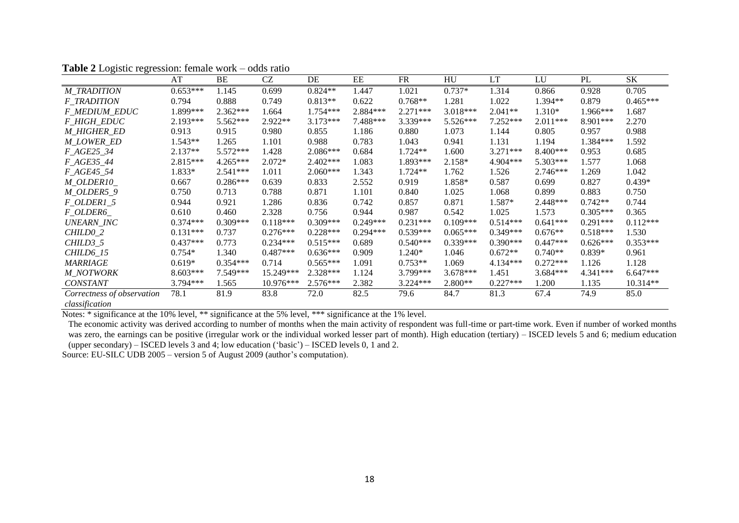|                            | AT         | <b>BE</b>  | CZ          | DE         | EE         | <b>FR</b>  | HU         | LT         | LU         | PL         | <b>SK</b>  |
|----------------------------|------------|------------|-------------|------------|------------|------------|------------|------------|------------|------------|------------|
| <b>M_TRADITION</b>         | $0.653***$ | 1.145      | 0.699       | $0.824**$  | 1.447      | 1.021      | $0.737*$   | 1.314      | 0.866      | 0.928      | 0.705      |
| <b>F_TRADITION</b>         | 0.794      | 0.888      | 0.749       | $0.813**$  | 0.622      | $0.768**$  | 1.281      | 1.022      | 1.394**    | 0.879      | $0.465***$ |
| <b>F_MEDIUM_EDUC</b>       | 1.899***   | $2.362***$ | 1.664       | 1.754***   | 2.884***   | $2.271***$ | 3.018***   | $2.041**$  | $1.310*$   | 1.966***   | 1.687      |
| <b>F HIGH EDUC</b>         | 2.193***   | 5.562***   | $2.922**$   | $3.173***$ | 7.488***   | 3.339***   | 5.526***   | $7.252***$ | $2.011***$ | 8.901***   | 2.270      |
| <b>M HIGHER ED</b>         | 0.913      | 0.915      | 0.980       | 0.855      | 1.186      | 0.880      | 1.073      | 1.144      | 0.805      | 0.957      | 0.988      |
| M LOWER ED                 | 1.543**    | 1.265      | 1.101       | 0.988      | 0.783      | 1.043      | 0.941      | 1.131      | 1.194      | 1.384***   | 1.592      |
| F_AGE25_34                 | 2.137**    | 5.572***   | 1.428       | 2.086***   | 0.684      | $1.724**$  | 1.600      | $3.271***$ | 8.400***   | 0.953      | 0.685      |
| F_AGE35_44                 | 2.815***   | 4.265***   | $2.072*$    | $2.402***$ | 1.083      | 1.893***   | 2.158*     | 4.904***   | 5.303***   | 1.577      | 1.068      |
| <i>F_AGE45_54</i>          | 1.833*     | $2.541***$ | 1.011       | $2.060***$ | 1.343      | $1.724**$  | 1.762      | 1.526      | $2.746***$ | 1.269      | 1.042      |
| M_OLDER10_                 | 0.667      | $0.286***$ | 0.639       | 0.833      | 2.552      | 0.919      | 1.858*     | 0.587      | 0.699      | 0.827      | $0.439*$   |
| M_OLDER5_9                 | 0.750      | 0.713      | 0.788       | 0.871      | 1.101      | 0.840      | 1.025      | 1.068      | 0.899      | 0.883      | 0.750      |
| $F_OLDER1_5$               | 0.944      | 0.921      | 1.286       | 0.836      | 0.742      | 0.857      | 0.871      | 1.587*     | 2.448***   | $0.742**$  | 0.744      |
| F_OLDER6_                  | 0.610      | 0.460      | 2.328       | 0.756      | 0.944      | 0.987      | 0.542      | 1.025      | 1.573      | $0.305***$ | 0.365      |
| UNEARN_INC                 | $0.374***$ | $0.309***$ | $0.118***$  | $0.309***$ | $0.249***$ | $0.231***$ | $0.109***$ | $0.514***$ | $0.641***$ | $0.291***$ | $0.112***$ |
| CHILD <sub>0_2</sub>       | $0.131***$ | 0.737      | $0.276***$  | $0.228***$ | $0.294***$ | $0.539***$ | $0.065***$ | $0.349***$ | $0.676**$  | $0.518***$ | 1.530      |
| $CHILD3_5$                 | $0.437***$ | 0.773      | $0.234***$  | $0.515***$ | 0.689      | $0.540***$ | $0.339***$ | $0.390***$ | $0.447***$ | $0.626***$ | $0.353***$ |
| CHILD6_15                  | $0.754*$   | 1.340      | $0.487***$  | $0.636***$ | 0.909      | $1.240*$   | 1.046      | $0.672**$  | $0.740**$  | $0.839*$   | 0.961      |
| <b>MARRIAGE</b>            | $0.619*$   | $0.354***$ | 0.714       | $0.565***$ | 1.091      | $0.753**$  | 1.069      | $4.134***$ | $0.272***$ | 1.126      | 1.128      |
| <b>M NOTWORK</b>           | $8.603***$ | $7.549***$ | 15.249***   | 2.328***   | 1.124      | 3.799***   | $3.678***$ | 1.451      | $3.684***$ | 4.341***   | $6.647***$ |
| <b>CONSTANT</b>            | $3.794***$ | 1.565      | $10.976***$ | $2.576***$ | 2.382      | 3.224***   | $2.800**$  | $0.227***$ | 1.200      | 1.135      | $10.314**$ |
| Correctness of observation | 78.1       | 81.9       | 83.8        | 72.0       | 82.5       | 79.6       | 84.7       | 81.3       | 67.4       | 74.9       | 85.0       |
| classification             |            |            |             |            |            |            |            |            |            |            |            |

**Table 2** Logistic regression: female work – odds ratio

Notes: \* significance at the 10% level, \*\* significance at the 5% level, \*\*\* significance at the 1% level.

The economic activity was derived according to number of months when the main activity of respondent was full-time or part-time work. Even if number of worked months was zero, the earnings can be positive (irregular work or the individual worked lesser part of month). High education (tertiary) – ISCED levels 5 and 6; medium education (upper secondary) – ISCED levels 3 and 4; low education ('basic') – ISCED levels 0, 1 and 2.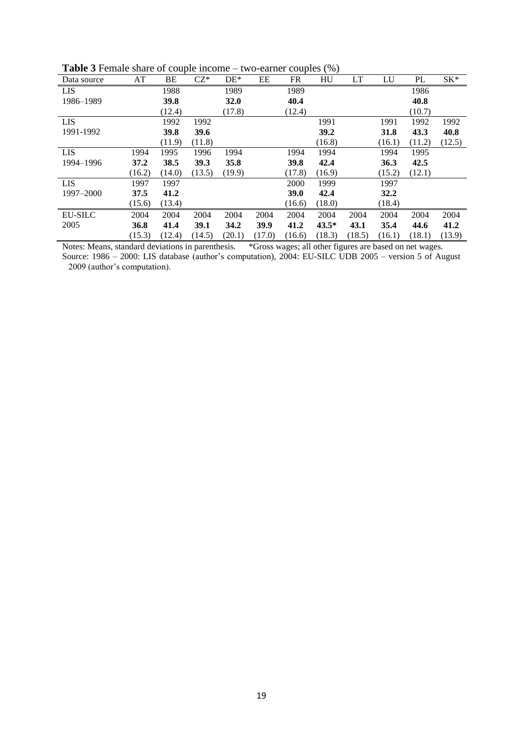| Data source    | AT     | BE     | $CZ^*$ | $DE*$  | EE     | FR          | HU      | LT     | LU     | PL     | $SK*$  |
|----------------|--------|--------|--------|--------|--------|-------------|---------|--------|--------|--------|--------|
| <b>LIS</b>     |        | 1988   |        | 1989   |        | 1989        |         |        |        | 1986   |        |
| 1986-1989      |        | 39.8   |        | 32.0   |        | 40.4        |         |        |        | 40.8   |        |
|                |        | (12.4) |        | (17.8) |        | (12.4)      |         |        |        | (10.7) |        |
| <b>LIS</b>     |        | 1992   | 1992   |        |        |             | 1991    |        | 1991   | 1992   | 1992   |
| 1991-1992      |        | 39.8   | 39.6   |        |        |             | 39.2    |        | 31.8   | 43.3   | 40.8   |
|                |        | (11.9) | (11.8) |        |        |             | (16.8)  |        | (16.1) | (11.2) | (12.5) |
| <b>LIS</b>     | 1994   | 1995   | 1996   | 1994   |        | 1994        | 1994    |        | 1994   | 1995   |        |
| 1994-1996      | 37.2   | 38.5   | 39.3   | 35.8   |        | 39.8        | 42.4    |        | 36.3   | 42.5   |        |
|                | (16.2) | (14.0) | (13.5) | (19.9) |        | (17.8)      | (16.9)  |        | (15.2) | (12.1) |        |
| LIS            | 1997   | 1997   |        |        |        | 2000        | 1999    |        | 1997   |        |        |
| 1997-2000      | 37.5   | 41.2   |        |        |        | <b>39.0</b> | 42.4    |        | 32.2   |        |        |
|                | (15.6) | (13.4) |        |        |        | (16.6)      | (18.0)  |        | (18.4) |        |        |
| <b>EU-SILC</b> | 2004   | 2004   | 2004   | 2004   | 2004   | 2004        | 2004    | 2004   | 2004   | 2004   | 2004   |
| 2005           | 36.8   | 41.4   | 39.1   | 34.2   | 39.9   | 41.2        | $43.5*$ | 43.1   | 35.4   | 44.6   | 41.2   |
|                | (15.3) | (12.4) | (14.5) | (20.1) | (17.0) | (16.6)      | (18.3)  | (18.5) | (16.1) | (18.1) | (13.9) |

**Table 3** Female share of couple income – two-earner couples (%)

Notes: Means, standard deviations in parenthesis. \*Gross wages; all other figures are based on net wages. Source: 1986 – 2000: LIS database (author's computation), 2004: EU-SILC UDB 2005 – version 5 of August 2009 (author's computation).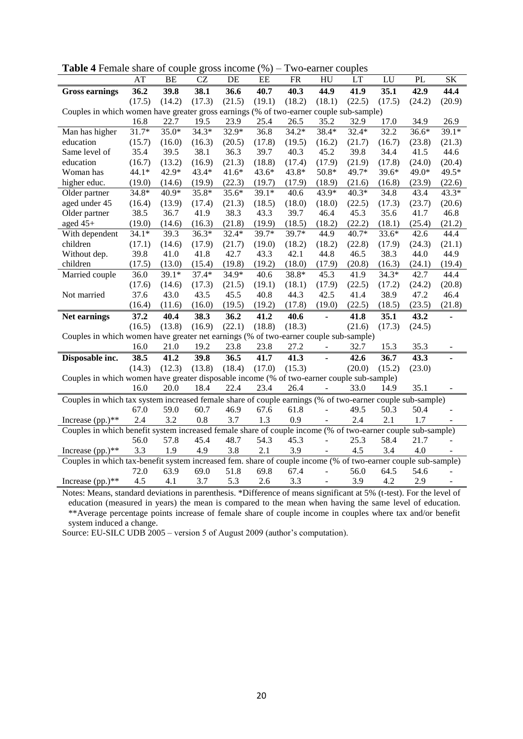| <b>radic <math>\pm</math></b> r chiald share or couple gross income                                           | AT      | BE      | <b>CZ</b> | DE      | $\sqrt{9}$<br>EE | I WU-CALIICI COUDICS<br><b>FR</b> | SK                       |         |         |         |        |
|---------------------------------------------------------------------------------------------------------------|---------|---------|-----------|---------|------------------|-----------------------------------|--------------------------|---------|---------|---------|--------|
|                                                                                                               |         |         |           |         |                  |                                   | HU                       | LT      | LU      | PL      |        |
| <b>Gross earnings</b>                                                                                         | 36.2    | 39.8    | 38.1      | 36.6    | 40.7             | 40.3                              | 44.9                     | 41.9    | 35.1    | 42.9    | 44.4   |
|                                                                                                               | (17.5)  | (14.2)  | (17.3)    | (21.5)  | (19.1)           | (18.2)                            | (18.1)                   | (22.5)  | (17.5)  | (24.2)  | (20.9) |
| Couples in which women have greater gross earnings (% of two-earner couple sub-sample)                        |         |         |           |         |                  |                                   |                          |         |         |         |        |
|                                                                                                               | 16.8    | 22.7    | 19.5      | 23.9    | 25.4             | 26.5                              | 35.2                     | 32.9    | 17.0    | 34.9    | 26.9   |
| Man has higher                                                                                                | 31.7*   | 35.0*   | 34.3*     | 32.9*   | 36.8             | $34.2*$                           | 38.4*                    | 32.4*   | 32.2    | $36.6*$ | 39.1*  |
| education                                                                                                     | (15.7)  | (16.0)  | (16.3)    | (20.5)  | (17.8)           | (19.5)                            | (16.2)                   | (21.7)  | (16.7)  | (23.8)  | (21.3) |
| Same level of                                                                                                 | 35.4    | 39.5    | 38.1      | 36.3    | 39.7             | 40.3                              | 45.2                     | 39.8    | 34.4    | 41.5    | 44.6   |
| education                                                                                                     | (16.7)  | (13.2)  | (16.9)    | (21.3)  | (18.8)           | (17.4)                            | (17.9)                   | (21.9)  | (17.8)  | (24.0)  | (20.4) |
| Woman has                                                                                                     | 44.1*   | 42.9*   | 43.4*     | $41.6*$ | 43.6*            | 43.8*                             | $50.8*$                  | 49.7*   | 39.6*   | 49.0*   | 49.5*  |
| higher educ.                                                                                                  | (19.0)  | (14.6)  | (19.9)    | (22.3)  | (19.7)           | (17.9)                            | (18.9)                   | (21.6)  | (16.8)  | (23.9)  | (22.6) |
| Older partner                                                                                                 | $34.8*$ | 40.9*   | 35.8*     | $35.6*$ | $39.1*$          | 40.6                              | 43.9*                    | $40.3*$ | 34.8    | 43.4    | 43.3*  |
| aged under 45                                                                                                 | (16.4)  | (13.9)  | (17.4)    | (21.3)  | (18.5)           | (18.0)                            | (18.0)                   | (22.5)  | (17.3)  | (23.7)  | (20.6) |
| Older partner                                                                                                 | 38.5    | 36.7    | 41.9      | 38.3    | 43.3             | 39.7                              | 46.4                     | 45.3    | 35.6    | 41.7    | 46.8   |
| aged 45+                                                                                                      | (19.0)  | (14.6)  | (16.3)    | (21.8)  | (19.9)           | (18.5)                            | (18.2)                   | (22.2)  | (18.1)  | (25.4)  | (21.2) |
| With dependent                                                                                                | $34.1*$ | 39.3    | $36.3*$   | $32.4*$ | $39.7*$          | 39.7*                             | 44.9                     | $40.7*$ | $33.6*$ | 42.6    | 44.4   |
| children                                                                                                      | (17.1)  | (14.6)  | (17.9)    | (21.7)  | (19.0)           | (18.2)                            | (18.2)                   | (22.8)  | (17.9)  | (24.3)  | (21.1) |
| Without dep.                                                                                                  | 39.8    | 41.0    | 41.8      | 42.7    | 43.3             | 42.1                              | 44.8                     | 46.5    | 38.3    | 44.0    | 44.9   |
| children                                                                                                      | (17.5)  | (13.0)  | (15.4)    | (19.8)  | (19.2)           | (18.0)                            | (17.9)                   | (20.8)  | (16.3)  | (24.1)  | (19.4) |
| Married couple                                                                                                | 36.0    | $39.1*$ | $37.4*$   | $34.9*$ | 40.6             | 38.8*                             | 45.3                     | 41.9    | $34.3*$ | 42.7    | 44.4   |
|                                                                                                               | (17.6)  | (14.6)  | (17.3)    | (21.5)  | (19.1)           | (18.1)                            | (17.9)                   | (22.5)  | (17.2)  | (24.2)  | (20.8) |
| Not married                                                                                                   | 37.6    | 43.0    | 43.5      | 45.5    | 40.8             | 44.3                              | 42.5                     | 41.4    | 38.9    | 47.2    | 46.4   |
|                                                                                                               | (16.4)  | (11.6)  | (16.0)    | (19.5)  | (19.2)           | (17.8)                            | (19.0)                   | (22.5)  | (18.5)  | (23.5)  | (21.8) |
| Net earnings                                                                                                  | 37.2    | 40.4    | 38.3      | 36.2    | 41.2             | 40.6                              | $\overline{\phantom{a}}$ | 41.8    | 35.1    | 43.2    |        |
|                                                                                                               | (16.5)  | (13.8)  | (16.9)    | (22.1)  | (18.8)           | (18.3)                            |                          | (21.6)  | (17.3)  | (24.5)  |        |
| Couples in which women have greater net earnings (% of two-earner couple sub-sample)                          |         |         |           |         |                  |                                   |                          |         |         |         |        |
|                                                                                                               | 16.0    | 21.0    | 19.2      | 23.8    | 23.8             | 27.2                              | $\blacksquare$           | 32.7    | 15.3    | 35.3    |        |
| Disposable inc.                                                                                               | 38.5    | 41.2    | 39.8      | 36.5    | 41.7             | 41.3                              | L,                       | 42.6    | 36.7    | 43.3    |        |
|                                                                                                               | (14.3)  | (12.3)  | (13.8)    | (18.4)  | (17.0)           | (15.3)                            |                          | (20.0)  | (15.2)  | (23.0)  |        |
| Couples in which women have greater disposable income (% of two-earner couple sub-sample)                     |         |         |           |         |                  |                                   |                          |         |         |         |        |
|                                                                                                               | 16.0    | 20.0    | 18.4      | 22.4    | 23.4             | 26.4                              |                          | 33.0    | 14.9    | 35.1    |        |
|                                                                                                               |         |         |           |         |                  |                                   |                          |         |         |         |        |
| Couples in which tax system increased female share of couple earnings (% of two-earner couple sub-sample)     |         |         |           |         |                  |                                   | $\overline{a}$           |         |         |         |        |
|                                                                                                               | 67.0    | 59.0    | 60.7      | 46.9    | 67.6             | 61.8                              |                          | 49.5    | 50.3    | 50.4    |        |
| Increase (pp.)**                                                                                              | 2.4     | 3.2     | 0.8       | 3.7     | 1.3              | 0.9                               |                          | 2.4     | 2.1     | 1.7     |        |
| Couples in which benefit system increased female share of couple income (% of two-earner couple sub-sample)   |         |         |           |         |                  |                                   |                          |         |         |         |        |
|                                                                                                               | 56.0    | 57.8    | 45.4      | 48.7    | 54.3             | 45.3                              |                          | 25.3    | 58.4    | 21.7    |        |
| Increase (pp.)**                                                                                              | 3.3     | 1.9     | 4.9       | 3.8     | 2.1              | 3.9                               |                          | 4.5     | 3.4     | 4.0     |        |
| Couples in which tax-benefit system increased fem. share of couple income (% of two-earner couple sub-sample) |         |         |           |         |                  |                                   |                          |         |         |         |        |
|                                                                                                               | 72.0    | 63.9    | 69.0      | 51.8    | 69.8             | 67.4                              | $\overline{a}$           | 56.0    | 64.5    | 54.6    |        |
| Increase (pp.)**                                                                                              | 4.5     | 4.1     | 3.7       | 5.3     | 2.6              | 3.3                               |                          | 3.9     | 4.2     | 2.9     |        |

**Table 4** Female share of couple gross income (%) – Two-earner couples

Notes: Means, standard deviations in parenthesis. \*Difference of means significant at 5% (t-test). For the level of education (measured in years) the mean is compared to the mean when having the same level of education. \*\*Average percentage points increase of female share of couple income in couples where tax and/or benefit system induced a change.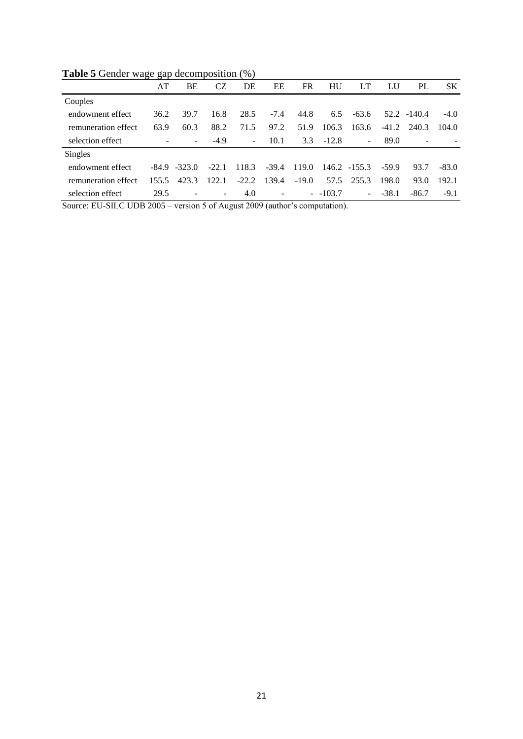|                     | $\epsilon$ |                          |                          |                          |                          |         |              |                          |         |                |         |
|---------------------|------------|--------------------------|--------------------------|--------------------------|--------------------------|---------|--------------|--------------------------|---------|----------------|---------|
|                     | AT         | BE                       | CZ                       | DE                       | EΕ                       | FR      | HU           | LT                       | LU      | PL             | SK.     |
| Couples             |            |                          |                          |                          |                          |         |              |                          |         |                |         |
| endowment effect    | 36.2       | 39.7                     | 16.8                     | 28.5                     | $-7.4$                   | 44.8    | 6.5          | -63.6                    |         | $52.2 - 140.4$ | $-4.0$  |
| remuneration effect | 63.9       | 60.3                     | 88.2                     | 71.5                     | 97.2                     | 51.9    | 106.3        | 163.6                    | $-41.2$ | 240.3          | 104.0   |
| selection effect    |            | $\overline{\phantom{0}}$ | $-4.9$                   | $\overline{\phantom{a}}$ | 10.1                     |         | $3.3 - 12.8$ | $\overline{\phantom{a}}$ | 89.0    |                |         |
| Singles             |            |                          |                          |                          |                          |         |              |                          |         |                |         |
| endowment effect    |            | $-84.9 - 323.0$          | $-22.1$                  | 118.3                    | $-39.4$                  | 119.0   |              | 146.2 -155.3             | $-59.9$ | 93.7           | $-83.0$ |
| remuneration effect | 155.5      | 423.3                    | 122.1                    | $-22.2$                  | 139.4                    | $-19.0$ |              | 57.5 255.3               | 198.0   | 93.0           | 192.1   |
| selection effect    | 29.5       | $\overline{\phantom{a}}$ | $\overline{\phantom{a}}$ | 4.0                      | $\overline{\phantom{a}}$ |         | $-103.7$     | $\sim$                   | $-38.1$ | $-86.7$        | $-9.1$  |
|                     |            |                          |                          |                          |                          |         |              |                          |         |                |         |

**Table 5** Gender wage gap decomposition (%)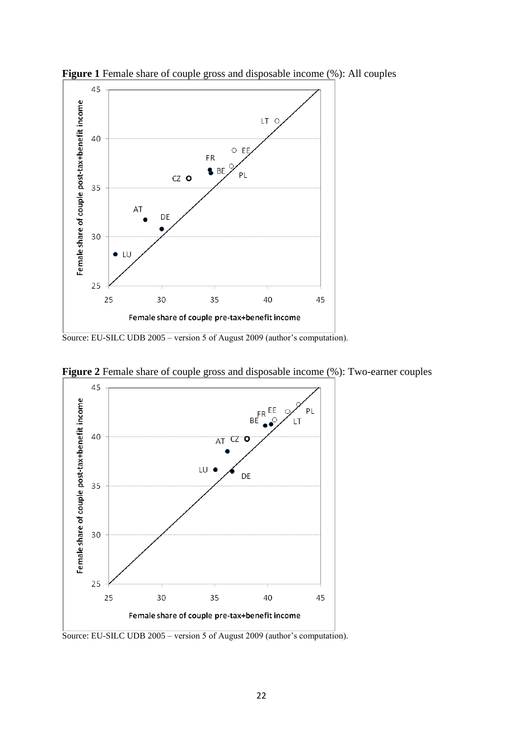

**Figure 1** Female share of couple gross and disposable income (%): All couples

Source: EU-SILC UDB 2005 – version 5 of August 2009 (author's computation).



**Figure 2** Female share of couple gross and disposable income (%): Two-earner couples

Source: EU-SILC UDB 2005 – version 5 of August 2009 (author's computation).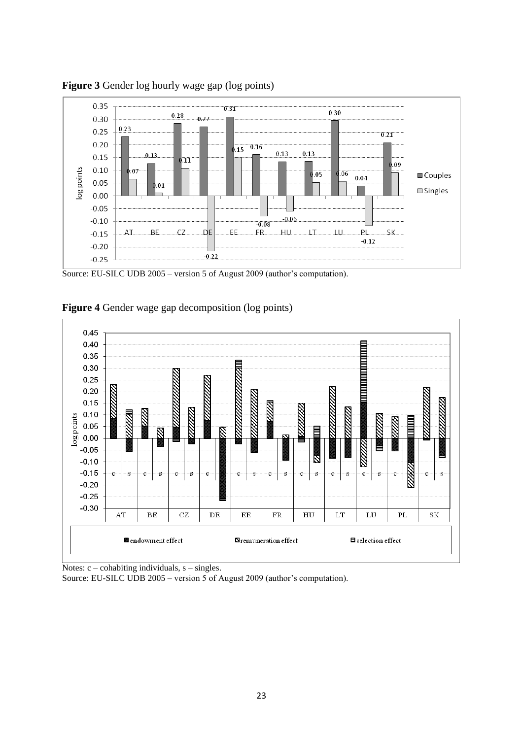

**Figure 3** Gender log hourly wage gap (log points)

Source: EU-SILC UDB 2005 – version 5 of August 2009 (author's computation).



**Figure 4** Gender wage gap decomposition (log points)

Notes:  $c$  – cohabiting individuals,  $s$  – singles.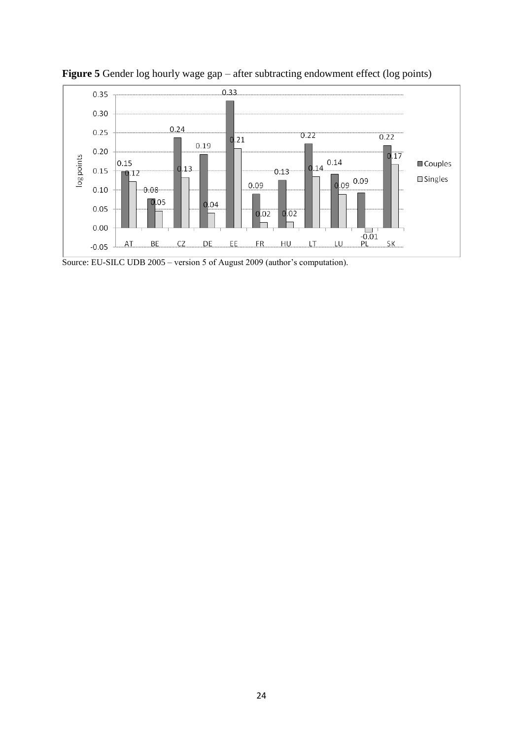

Figure 5 Gender log hourly wage gap – after subtracting endowment effect (log points)

Source: EU-SILC UDB 2005 – version 5 of August 2009 (author's computation).